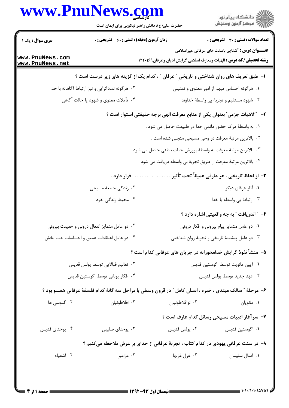## www.PnuNews.com

| سری سوال : یک ۱                                                           | <b>زمان آزمون (دقیقه) : تستی : 60 ٪ تشریحی : 0</b>                                                        |                                                                   | تعداد سوالات : تستي : 30 - تشريحي : 0                                                                                                 |  |  |
|---------------------------------------------------------------------------|-----------------------------------------------------------------------------------------------------------|-------------------------------------------------------------------|---------------------------------------------------------------------------------------------------------------------------------------|--|--|
| www.PnuNews.com<br>www.PnuNews.net                                        |                                                                                                           |                                                                   | <b>عنـــوان درس :</b> آشنایی باسنت های عرفانی غیراسلامی<br><b>رشته تحصیلی/کد درس :</b> الهیات ومعارف اسلامی گرایش ادیان وعرفان۱۲۲۰۱۶۹ |  |  |
|                                                                           | <b>ا- طبق تعریف های روان شناختی و تاریخی " عرفان " ، کدام یک از گزینه های زیر درست است</b> ؟              |                                                                   |                                                                                                                                       |  |  |
|                                                                           | ۰۲ هرگونه نمادگرایی و نیز ارتباط آگاهانه با خدا                                                           |                                                                   | ۰۱ هرگونه احساس مبهم از امور معنوی و تمثیلی                                                                                           |  |  |
|                                                                           | ۰۴ تأملات معنوى و شهود يا حالت آگاهي                                                                      |                                                                   | ۰۳ شهود مستقیم و تجربهٔ بی واسطهٔ خداوند                                                                                              |  |  |
| ۲– ″الاهیات جزمی″ بعنوان یکی از منابع معرفت الهی برچه حقیقتی استوار است ؟ |                                                                                                           |                                                                   |                                                                                                                                       |  |  |
|                                                                           |                                                                                                           | ١. به واسطهٔ درک حضور دائمی خدا در طبیعت حاصل می شود .            |                                                                                                                                       |  |  |
|                                                                           |                                                                                                           | ٢. بالاترين مرتبهٔ معرفت در وحي مسيحي متجلي شده است .             |                                                                                                                                       |  |  |
|                                                                           |                                                                                                           | ۰۳ بالاترین مرتبهٔ معرفت به واسطهٔ پرورش حیات باطنی حاصل می شود . |                                                                                                                                       |  |  |
|                                                                           |                                                                                                           | ۰۴ بالاترین مرتبهٔ معرفت از طریق تجربهٔ بی واسطه دریافت می شود .  |                                                                                                                                       |  |  |
|                                                                           | قرار دارد .                                                                                               |                                                                   | ٣- از لحاظ تاريخى ، هر عارفى عميقاً تحت تأثير                                                                                         |  |  |
|                                                                           | ۰۲ زندگی جامعهٔ مسیحی                                                                                     |                                                                   | ۰۱ آثار عرفای دیگر                                                                                                                    |  |  |
|                                                                           | ۰۴ محیط زندگی خود                                                                                         |                                                                   | ۰۳ ارتباط بی واسطه با خدا                                                                                                             |  |  |
|                                                                           |                                                                                                           |                                                                   | ۴- ″ اندریافت ″ به چه واقعیتی اشاره دارد ؟                                                                                            |  |  |
|                                                                           | ۰۲ دو عامل متمایز انفعال درونی و حقیقت بیرونی                                                             |                                                                   | ٠١. دو عامل متمايز پيام بيروني و افكار دروني                                                                                          |  |  |
|                                                                           | ۰۴ دو عامل اعتقادات عمیق و احساسات لذت بخش                                                                |                                                                   | ۰۳ دو عامل پیشینهٔ تاریخی و تجربهٔ روان شناختی                                                                                        |  |  |
|                                                                           |                                                                                                           | ۵– منشأ نفوذ گرایش خدامحورانه در جریان های عرفانی کدام است ؟      |                                                                                                                                       |  |  |
| ٢. تعاليم قبالايي توسط پولس قديس                                          |                                                                                                           | ٠١ آيين مانويت توسط اگوستين قديس                                  |                                                                                                                                       |  |  |
| ۴. افكار يوناني توسط اگوستين قديس                                         |                                                                                                           | ۰۳ عهد جديد توسط پولس قديس                                        |                                                                                                                                       |  |  |
|                                                                           | ۶- مرحلهٔ ″ سالک مبتدی ، خبره ، انسان کامل ″ در قرون وسطی با مراحل سه گانهٔ کدام فلسفهٔ عرفانی همسو بود ؟ |                                                                   |                                                                                                                                       |  |  |
| ۰۴ گنوسی ها                                                               | ۰۳ افلاطونيان                                                                                             | ۰۲ نوافلاطونيان                                                   | ٠١ مانويان                                                                                                                            |  |  |
|                                                                           |                                                                                                           |                                                                   | ۷- سرآغاز ادبیات مسیحی رسائل کدام عارف است ؟                                                                                          |  |  |
| ۰۴ يوحناي قديس                                                            | ۰۳ يوحناي صليبي                                                                                           | ۰۲ پولس قديس                                                      | ٠١. اگوستين قديس                                                                                                                      |  |  |
|                                                                           | ۸– در سنت عرفانی یهودی در کدام کتاب ، تجربهٔ عرفانی از خدای بر عرش ملاحظه میکنیم ؟                        |                                                                   |                                                                                                                                       |  |  |
| ۰۴ اشعیاء                                                                 | ن مزامير $\cdot$ ۳                                                                                        | ۰۲ غزل غزلها                                                      | ٠١. امثال سليمان                                                                                                                      |  |  |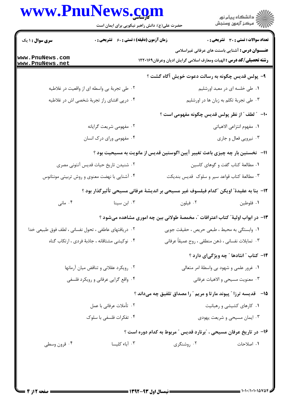## www.PnuNews.com

| ر دانشڪاه پيام نور<br>اڳ مرڪز آزمون وسنڊش                                                                                             | حضرت علی(ع): دانش راهبر نیکویی برای ایمان است | www.PnuNews.com                                      |                                    |
|---------------------------------------------------------------------------------------------------------------------------------------|-----------------------------------------------|------------------------------------------------------|------------------------------------|
| تعداد سوالات : تستي : 30 ٪ تشريحي : 0                                                                                                 |                                               | <b>زمان آزمون (دقیقه) : تستی : 60 ٪ تشریحی : 0</b>   | <b>سری سوال : ۱ یک</b>             |
| <b>عنـــوان درس :</b> آشنایی باسنت های عرفانی غیراسلامی<br><b>رشته تحصیلی/کد درس :</b> الهیات ومعارف اسلامی گرایش ادیان وعرفان۱۲۲۰۱۶۹ |                                               |                                                      | www.PnuNews.com<br>www.PnuNews.net |
| ۹- پولس قدیس چگونه به رسالت دعوت خویش آگاه گشت ؟                                                                                      |                                               |                                                      |                                    |
| ۰۱ طی خلسه ای در معبد اورشلیم                                                                                                         |                                               | ۰۲ طی تجربهٔ بی واسطه ای از واقعیت در غلاطیه         |                                    |
| ۰۳ طی تجربهٔ تکلم به زبان ها در اورشلیم                                                                                               |                                               | ۰۴ درپی افشای راز تجربهٔ شخصی اش در غلاطیه           |                                    |
| ∙ا− ″ لطف ″ از نظر پولس قدیس چگونه مفهومی است ؟                                                                                       |                                               |                                                      |                                    |
| ٠١. مفهوم انتزاعي الاهياتي                                                                                                            |                                               | ۰۲ مفهومی شریعت گرایانه                              |                                    |
| ۰۳ نیرویی فعال و جاری                                                                                                                 |                                               | ۰۴ مفهومی ورای درک انسان                             |                                    |
| 1۱– نخستین بار چه چیزی باعث تغییر آیین اگوستین قدیس از مانویت به مسیحیت بود ؟                                                         |                                               |                                                      |                                    |
| ٠١ مطالعة كتاب گفت و گوهاى كاسين                                                                                                      |                                               | ۰۲ شنیدن تاریخ حیات قدیس آنتونی مصری                 |                                    |
| ۰۳ مطالعهٔ کتاب قواعد سیر و سلوک قدیس بندیکت                                                                                          |                                               | ۰۴ آشنایی با نهضت معنوی و روش تربیتی مونتانوس        |                                    |
| 1۲– بنا به عقیدهٔ ؒ اویکن  ؒکدام فیلسوف غیر مسیحی بر اندیشهٔ عرفانی مسیحی تأثیرگذار بود ؟                                             |                                               |                                                      |                                    |
| ۰۲ فیلون<br>٠١. فلوطين                                                                                                                |                                               | ۰۳ ابن سینا                                          | ۰۴ مانی                            |
| ۱۳– در ابواب اولیهٔ ؒ کتاب اعترافات ؒ، مخمصهٔ طولانی بین چه اموری مشاهده میشود ؟                                                      |                                               |                                                      |                                    |
| ٠١ وابستگي به محيط ، طبعي حريص ، حقيقت جويي                                                                                           |                                               | ٠٢ دريافتهاى عاطفى ، تحول نفسانى ، لطف فوق طبيعى خدا |                                    |
| ۰۳ تمایلات نفسانی ، ذهن منطقی ، روح عمیقاً عرفانی                                                                                     |                                               | ۰۴ نوکیشی مشتاقانه ، جاذبهٔ فردی ، ارتکاب گناه       |                                    |
| ۱۴- کتاب " انئادها " چه ویژگیای دارد ؟                                                                                                |                                               |                                                      |                                    |
| ۰۱ غرور علمی و شهود بی واسطهٔ امر متعالی                                                                                              |                                               | ۰۲ رویکرد عقلانی و تناقض میان آرمانها                |                                    |
| ۰۳ معنویت مسیحی و الاهیات عرفانی                                                                                                      |                                               | ۰۴ واقع گرایی عرفانی و رویکرد فلسفی                  |                                    |
| ۱۵- قدیسه ترزا " پیوند مارتا و مریم " را مصداق تلفیق چه میداند ؟                                                                      |                                               |                                                      |                                    |
| ۰۱ کارهای کشیشی و رهبانیت                                                                                                             |                                               | ۲. تأملات عرفاني با عمل                              |                                    |
| ۰۳ ایمان مسیحی و شریعت یهودی                                                                                                          |                                               | ۰۴ تفکرات فلسفی با سلوک                              |                                    |
| ۱۶– در تاریخ عرفان مسیحی ، "برنارد قدیس " مربوط به کدام دوره است ؟                                                                    |                                               |                                                      |                                    |
| ١. اصلاحات                                                                                                                            | ۰۲ روشنگری                                    | ۰۳ آباء کلیسا                                        | ۰۴ قرون وسطى                       |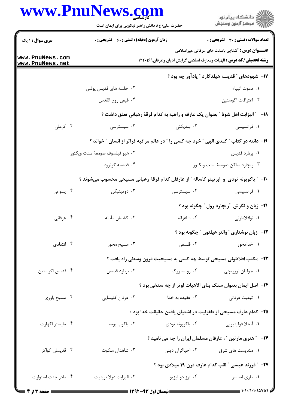|                                    | حضرت علی(ع): دانش راهبر نیکویی برای ایمان است                                           |                  | ر<br>دانشڪاه پيام نور<br>ا∛ مرڪز آزمون وسنڊش                                                                                          |
|------------------------------------|-----------------------------------------------------------------------------------------|------------------|---------------------------------------------------------------------------------------------------------------------------------------|
| <b>سری سوال : ۱ یک</b>             | <b>زمان آزمون (دقیقه) : تستی : 60 ٪ تشریحی : 0</b>                                      |                  | <b>تعداد سوالات : تستی : 30 ٪ تشریحی : 0</b>                                                                                          |
| www.PnuNews.com<br>www.PnuNews.net |                                                                                         |                  | <b>عنـــوان درس :</b> آشنایی باسنت های عرفانی غیراسلامی<br><b>رشته تحصیلی/کد درس :</b> الهیات ومعارف اسلامی گرایش ادیان وعرفان۱۲۲۰۱۶۹ |
|                                    |                                                                                         |                  | ۱۷– شهودهای ″ قدیسه هیلدگارد ″ یادآور چه بود ؟                                                                                        |
|                                    | ۰۲ خلسه های قدیس پولس                                                                   |                  | ٠١ دعوت انبياء                                                                                                                        |
|                                    | ۰۴ فيض روح القدس                                                                        |                  | ٠٣ اعترافات اگوستين                                                                                                                   |
|                                    |                                                                                         |                  | <b>۱۸</b> - ٪ الیزابت اهل شونا ٪ بعنوان یک عارفه و راهبه به کدام فرقهٔ رهبانی تعلق داشت ؟                                             |
| ۰۴ کرملی                           | ۰۳ سیسترسی                                                                              | ۰۲ بندیکتی       | ۰۱ فرانسیسی                                                                                                                           |
|                                    | ۱۹- دانته در کتاب ″ کمدی الهی ″ خود چه کسی را ″ در عالم مراقبه فراتر از انسان ″ خواند ؟ |                  |                                                                                                                                       |
|                                    | ٠٢ هيو فيلسوف صومعهٔ سنت ويكتور                                                         |                  | ۰۱ برنارد قديس                                                                                                                        |
|                                    | ۰۴ قدیسه گرترود                                                                         |                  | ۰۳ ریچارد ساکن صومعهٔ سنت ویکتور                                                                                                      |
|                                    | +۲- ″ یاکوپونه تودی و ابرتینو کاساله ″ از عارفان کدام فرقهٔ رهبانی مسیحی محسوب میشوند ؟ |                  |                                                                                                                                       |
| ۰۴ يسوعي                           | ۰۳ دومینیکن                                                                             | ۰۲ سیسترسی       | ۰۱ فرانسیسی                                                                                                                           |
|                                    |                                                                                         |                  | <b>۲۱-</b> زبان و نگرش آریچارد رول آ چگونه بود ؟                                                                                      |
| ۰۴ عرفاني                          | ۰۳ كشيش مآبانه                                                                          | ۰۲ شاعرانه       | ۰۱ نوافلاطونی                                                                                                                         |
|                                    |                                                                                         |                  | <b>۲۲</b> - زبان نوشتاری ″والتر هیلتون ″ چگونه بود ؟                                                                                  |
| ۰۴ انتقادی                         | ۰۳ مسیح محور                                                                            | ۲. فلسفی         | ۰۱ خدامحور                                                                                                                            |
|                                    |                                                                                         |                  | ٢٣- مكتب افلاطوني مسيحي توسط چه كسي به مسيحيت قرون وسطى راه يافت ؟                                                                    |
| ۰۴ قديس اگوستين                    | ۰۳ برنارد قديس                                                                          | ۰۲ رویسبروک      | ۰۱ جولیان نورویچی                                                                                                                     |
|                                    |                                                                                         |                  | ۲۴- اصل ایمان بعنوان سنگ بنای الاهیات لوتر از چه سنخی بود ؟                                                                           |
| ۰۴ مسیح باوری                      | ۰۳ عرفان کلیسایی                                                                        | ۰۲ عقیده به خدا  | ۰۱ تبعیت عرفان <sub>ی</sub>                                                                                                           |
|                                    |                                                                                         |                  | ۲۵– کدام عارف مسیحی از طفولیت در اشتیاق یافتن حقیقت خدا بود ؟                                                                         |
| ۰۴ مايستر اكهارت                   | ۰۳ ياكوب بومه                                                                           | ۰۲ ياكوپونه تودي | ۰۱ آنجلا فولينيويي                                                                                                                    |
|                                    |                                                                                         |                  | <b>۲۶</b> - ″ هنری مارتین ″ ، عارفان مسلمان ایران را چه می نامید ؟                                                                    |
| ۰۴ قديسان كواكر                    | ۰۳ شاهدان ملکوت                                                                         |                  | ۰۱ متدیست های شرق <b>مسال است</b> از ان دینی                                                                                          |
|                                    |                                                                                         |                  | <b>۲۷</b> - ″ فرزند عیسی ″ لقب کدام عارف قرن ۱۹ میلادی بود ؟                                                                          |
| ۰۴ مادر جنت استوارت                | ۰۳ اليزابت دولا ترينيت                                                                  | ۰۲ ترز دو ليزيو  | ۰۱ ماری اسلسر                                                                                                                         |